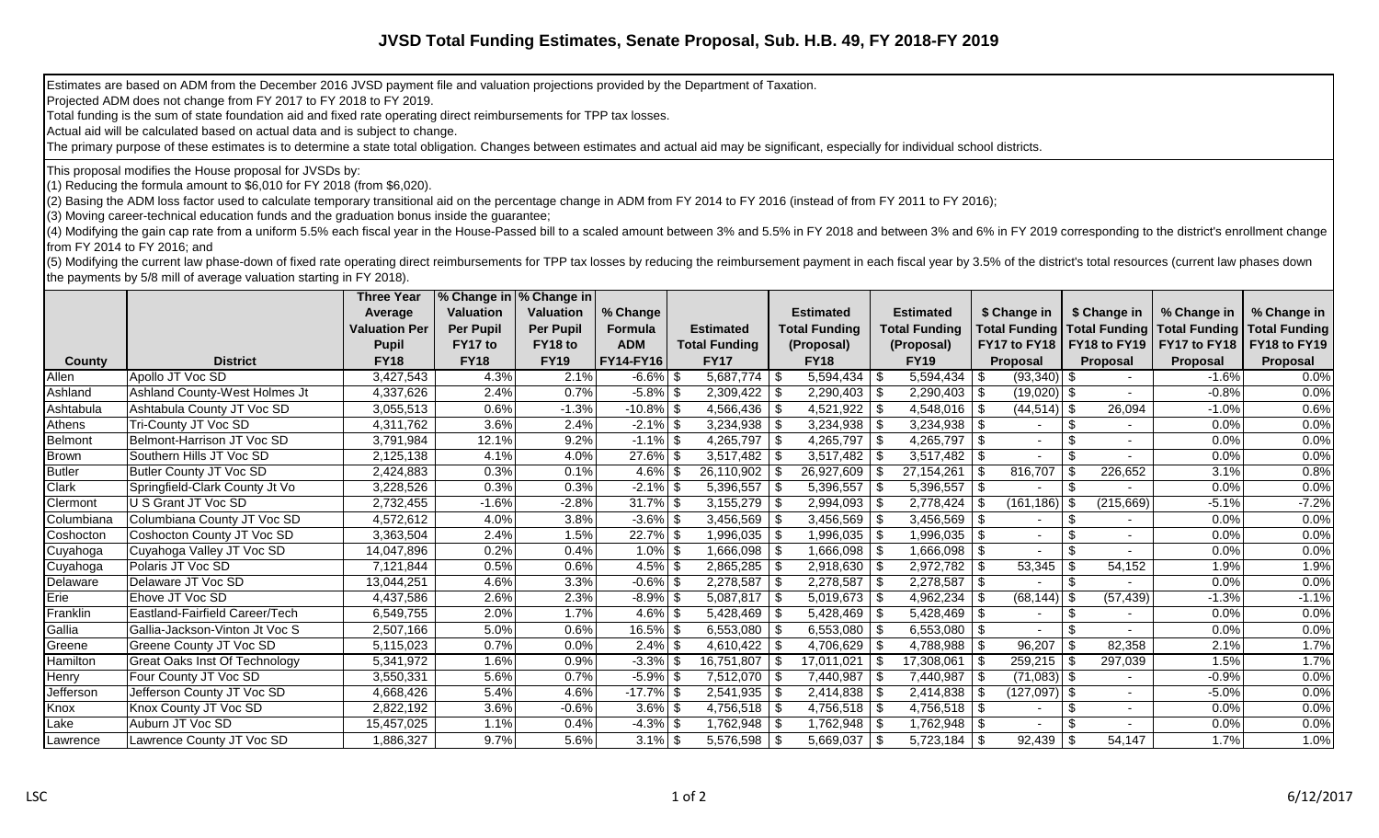## **JVSD Total Funding Estimates, Senate Proposal, Sub. H.B. 49, FY 2018-FY 2019**

Estimates are based on ADM from the December 2016 JVSD payment file and valuation projections provided by the Department of Taxation.

Projected ADM does not change from FY 2017 to FY 2018 to FY 2019.

Total funding is the sum of state foundation aid and fixed rate operating direct reimbursements for TPP tax losses.

Actual aid will be calculated based on actual data and is subject to change.

The primary purpose of these estimates is to determine a state total obligation. Changes between estimates and actual aid may be significant, especially for individual school districts.

This proposal modifies the House proposal for JVSDs by:

(1) Reducing the formula amount to \$6,010 for FY 2018 (from \$6,020).

(2) Basing the ADM loss factor used to calculate temporary transitional aid on the percentage change in ADM from FY 2014 to FY 2016 (instead of from FY 2011 to FY 2016);

(3) Moving career-technical education funds and the graduation bonus inside the guarantee;

(4) Modifying the gain cap rate from a uniform 5.5% each fiscal year in the House-Passed bill to a scaled amount between 3% and 5.5% in FY 2018 and between 3% and 6% in FY 2019 corresponding to the district's enrollment ch from FY 2014 to FY 2016; and

(5) Modifying the current law phase-down of fixed rate operating direct reimbursements for TPP tax losses by reducing the reimbursement payment in each fiscal year by 3.5% of the district's total resources (current law pha the payments by 5/8 mill of average valuation starting in FY 2018).

|               |                                      | <b>Three Year</b>    | % Change in   % Change in |                  |                  |                         |                         |      |                      |                                    |      |              |              |                                      |
|---------------|--------------------------------------|----------------------|---------------------------|------------------|------------------|-------------------------|-------------------------|------|----------------------|------------------------------------|------|--------------|--------------|--------------------------------------|
|               |                                      | Average              | <b>Valuation</b>          | <b>Valuation</b> | % Change         |                         | <b>Estimated</b>        |      | <b>Estimated</b>     | \$ Change in                       |      | \$ Change in | % Change in  | % Change in                          |
|               |                                      | <b>Valuation Per</b> | <b>Per Pupil</b>          | <b>Per Pupil</b> | <b>Formula</b>   | <b>Estimated</b>        | <b>Total Funding</b>    |      | <b>Total Funding</b> | Total Funding Total Funding        |      |              |              | <b>Total Funding   Total Funding</b> |
|               |                                      | <b>Pupil</b>         | FY17 to                   | FY18 to          | <b>ADM</b>       | <b>Total Funding</b>    | (Proposal)              |      | (Proposal)           | <b>FY17 to FY18   FY18 to FY19</b> |      |              | FY17 to FY18 | FY18 to FY19                         |
| <b>County</b> | <b>District</b>                      | <b>FY18</b>          | <b>FY18</b>               | <b>FY19</b>      | <b>FY14-FY16</b> | <b>FY17</b>             | <b>FY18</b>             |      | <b>FY19</b>          | <b>Proposal</b>                    |      | Proposal     | Proposal     | Proposal                             |
| Allen         | Apollo JT Voc SD                     | 3,427,543            | 4.3%                      | 2.1%             | $-6.6\%$ \$      |                         | $5,594,434$ \\$         |      | 5,594,434            | $(93,340)$ \$<br>l \$              |      |              | $-1.6%$      | 0.0%                                 |
| Ashland       | Ashland County-West Holmes Jt        | 4,337,626            | 2.4%                      | 0.7%             | $-5.8\%$ \$      | $2,309,422$ \$          | $2,290,403$ \$          |      | $2,290,403$ \$       | $(19,020)$ \$                      |      |              | $-0.8%$      | 0.0%                                 |
| Ashtabula     | Ashtabula County JT Voc SD           | 3,055,513            | 0.6%                      | $-1.3%$          | $-10.8\%$ \$     | $4,566,436$ \ \$        | $4,521,922$ \\$         |      | $4,548,016$ \\$      | $(44, 514)$ \$                     |      | 26,094       | $-1.0%$      | 0.6%                                 |
| Athens        | Tri-County JT Voc SD                 | 4,311,762            | 3.6%                      | 2.4%             | $-2.1\%$ \$      |                         |                         |      | 3,234,938            | $\frac{1}{3}$                      | \$   |              | 0.0%         | 0.0%                                 |
| Belmont       | Belmont-Harrison JT Voc SD           | 3,791,984            | 12.1%                     | 9.2%             | $-1.1\%$ \$      | 4,265,797 $\frac{1}{3}$ | 4,265,797   \$          |      | 4,265,797            | ∣\$                                | \$   |              | 0.0%         | 0.0%                                 |
| Brown         | Southern Hills JT Voc SD             | 2,125,138            | 4.1%                      | 4.0%             | $27.6\%$ \$      | $3,517,482$ \$          | $3,517,482$ \\$         |      |                      |                                    | \$   |              | 0.0%         | 0.0%                                 |
| <b>Butler</b> | Butler County JT Voc SD              | 2,424,883            | 0.3%                      | 0.1%             | $4.6\%$ \$       | $26,110,902$ \ \$       | 26,927,609              | - \$ | 27, 154, 261         | 816,707<br>  \$                    | \$   | 226,652      | 3.1%         | 0.8%                                 |
| Clark         | Springfield-Clark County Jt Vo       | 3,228,526            | 0.3%                      | 0.3%             | $-2.1\%$ \$      | $5,396,557$ \\$         | $5,396,557$ \\$         |      | 5,396,557            | ∣\$                                | \$.  |              | 0.0%         | 0.0%                                 |
| Clermont      | U S Grant JT Voc SD                  | 2,732,455            | $-1.6%$                   | $-2.8%$          | $31.7\%$ \$      | $3,155,279$ \\$         | $2,994,093$ \\$         |      | 2,778,424            | $(161, 186)$ \$<br>∣\$             |      | (215, 669)   | $-5.1%$      | $-7.2%$                              |
| Columbiana    | Columbiana County JT Voc SD          | 4,572,612            | 4.0%                      | 3.8%             | $-3.6\%$ \$      | $3,456,569$ \$          | $3,456,569$ \\$         |      | $3,456,569$ \$       |                                    | \$.  |              | 0.0%         | 0.0%                                 |
| Coshocton     | Coshocton County JT Voc SD           | 3,363,504            | 2.4%                      | 1.5%             | $22.7\%$ \$      |                         | $1,996,035$   \$        |      | 1,996,035            | \$                                 |      |              | 0.0%         | 0.0%                                 |
| Cuyahoga      | Cuyahoga Valley JT Voc SD            | 14,047,896           | 0.2%                      | 0.4%             | $1.0\%$ \$       | $1,666,098$ \$          | $1,666,098$ \ \$        |      | $1,666,098$ \ \$     |                                    | \$   |              | 0.0%         | 0.0%                                 |
| Cuyahoga      | Polaris JT Voc SD                    | 7,121,844            | 0.5%                      | 0.6%             | $4.5\%$ \$       | $2,865,285$ \$          | $2,918,630$ \ \$        |      | $2,972,782$ \$       | 53,345                             |      | 54,152       | 1.9%         | 1.9%                                 |
| Delaware      | Delaware JT Voc SD                   | 13.044.251           | 4.6%                      | 3.3%             | $-0.6\%$ \$      | $2,278,587$ \ \ \$      | $2,278,587$ \\$         |      | 2,278,587            | l \$                               | \$   |              | 0.0%         | 0.0%                                 |
| Erie          | Ehove JT Voc SD                      | 4,437,586            | 2.6%                      | 2.3%             | $-8.9\%$ \$      | $5,087,817$ \\$         | $5,019,673$ \\$         |      | 4,962,234            | $(68, 144)$ \$<br>∣\$              |      | (57, 439)    | $-1.3%$      | $-1.1%$                              |
| Franklin      | Eastland-Fairfield Career/Tech       | 6,549,755            | 2.0%                      | 1.7%             | $4.6\%$ \$       | $5,428,469$ \ \ \$      | $5,428,469$ \\$         |      | $5,428,469$ \ \ \$   |                                    | \$   |              | 0.0%         | 0.0%                                 |
| Gallia        | Gallia-Jackson-Vinton Jt Voc S       | 2,507,166            | 5.0%                      | 0.6%             | $16.5\%$ \$      | 6,553,080 $\frac{1}{9}$ | 6,553,080 $\frac{1}{9}$ |      | $6,553,080$ \ \$     |                                    |      |              | 0.0%         | 0.0%                                 |
| Greene        | <b>Greene County JT Voc SD</b>       | 5,115,023            | 0.7%                      | 0.0%             | $2.4\%$ \$       | $4,610,422$ \$          | 4,706,629 $\frac{1}{3}$ |      | 4,788,988            | 96,207<br>$\vert$ \$               | -\$  | 82,358       | 2.1%         | 1.7%                                 |
| Hamilton      | <b>Great Oaks Inst Of Technology</b> | 5,341,972            | 1.6%                      | 0.9%             | $-3.3\%$ \$      | $16,751,807$ \\$        | 17,011,021              | \$   | 17,308,061           | \$<br>259,215                      | - \$ | 297,039      | 1.5%         | 1.7%                                 |
| Henry         | Four County JT Voc SD                | 3,550,331            | 5.6%                      | 0.7%             | $-5.9\%$ \$      | $7,512,070$ \$          | $7,440,987$ \\$         |      | 7,440,987            | $(71,083)$ \$<br>l \$              |      |              | $-0.9%$      | 0.0%                                 |
| Jefferson     | Jefferson County JT Voc SD           | 4,668,426            | 5.4%                      | 4.6%             | $-17.7\%$ \$     |                         |                         |      | 2,414,838            | l \$<br>$(127,097)$ \$             |      |              | $-5.0%$      | 0.0%                                 |
| Knox          | Knox County JT Voc SD                | 2,822,192            | 3.6%                      | $-0.6%$          | $3.6\%$ \$       | $4,756,518$ \\$         | $4,756,518$ \\$         |      | $4,756,518$ \$       |                                    | \$   |              | 0.0%         | 0.0%                                 |
| Lake          | Auburn JT Voc SD                     | 15,457,025           | 1.1%                      | 0.4%             | $-4.3\%$ \$      |                         |                         |      | $1,762,948$   \$     |                                    | \$   |              | 0.0%         | 0.0%                                 |
| Lawrence      | Lawrence County JT Voc SD            | 1,886,327            | 9.7%                      | 5.6%             | $3.1\%$ \$       | $5,576,598$   \$        | $5,669,037$   \$        |      | $5,723,184$   \$     |                                    |      | 54,147       | 1.7%         | 1.0%                                 |